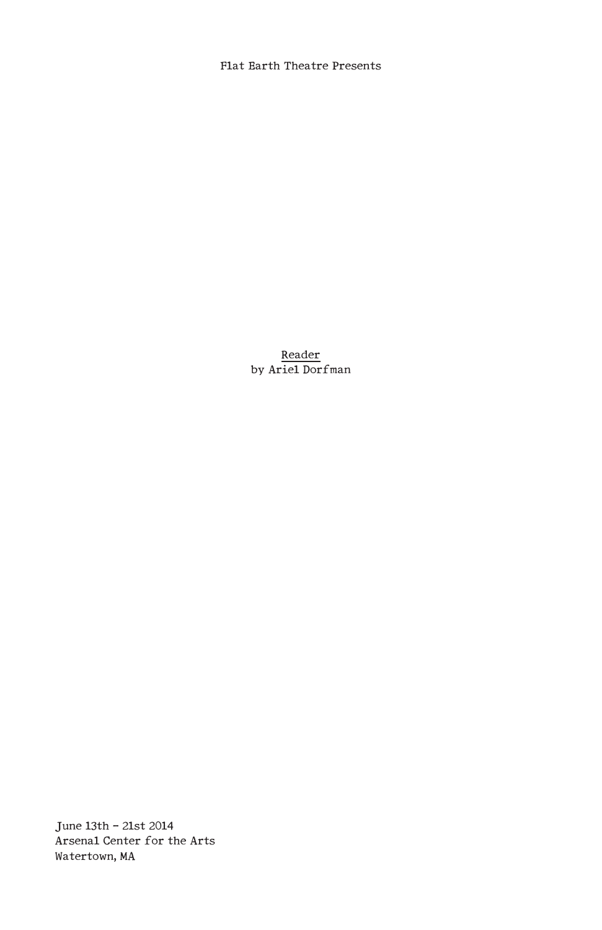Flat Earth Theatre Presents

Reader by Ariel Dorfman

June l3th - 2lst 20l4 Arsenal Center for the Arts Watertown, MA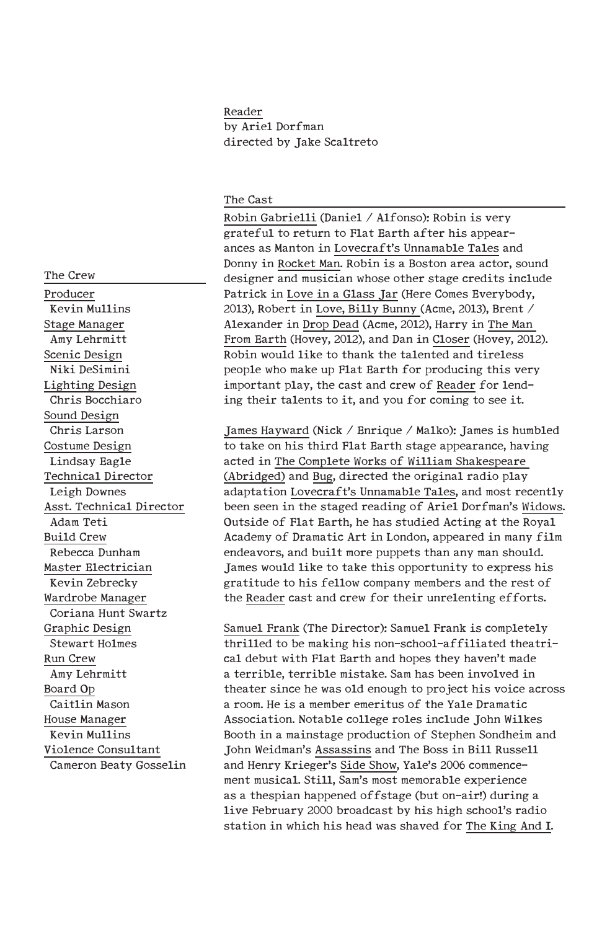# Reader by Ariel Dorfman directed by Jake Scaltreto

#### The Cast

Robin Gabrielli (Daniel / Alfonso): Robin is very grateful to return to Flat Earth after his appearances as Manton in Lovecraft's Unnamable Tales and Donny in Rocket Man. Robin is a Boston area actor, sound designer and musician whose other stage credits include Patrick in Love in a Glass Jar (Here Comes Everybody, 20l3), Robert in Love, Billy Bunny (Acme, 20l3), Brent / Alexander in Drop Dead (Acme, 20l2), Harry in The Man From Earth (Hovey, 20l2), and Dan in Closer (Hovey, 20l2). Robin would like to thank the talented and tireless people who make up Flat Earth for producing this very important play, the cast and crew of Reader for lending their talents to it, and you for coming to see it.

James Hayward (Nick / Enrique / Malko): James is humbled to take on his third Flat Earth stage appearance, having acted in The Complete Works of William Shakespeare (Abridged) and Bug, directed the original radio play adaptation Lovecraft's Unnamable Tales, and most recently been seen in the staged reading of Ariel Dorfman's Widows. Outside of Flat Earth, he has studied Acting at the Royal Academy of Dramatic Art in London, appeared in many film endeavors, and built more puppets than any man should. James would like to take this opportunity to express his gratitude to his fellow company members and the rest of the Reader cast and crew for their unrelenting efforts.

Samuel Frank (The Director): Samuel Frank is completely thrilled to be making his non-school-affiliated theatrical debut with Flat Earth and hopes they haven't made a terrible, terrible mistake. Sam has been involved in theater since he was old enough to project his voice across a room. He is a member emeritus of the Yale Dramatic Association. Notable college roles include John Wilkes Booth in a mainstage production of Stephen Sondheim and John Weidman's Assassins and The Boss in Bill Russell and Henry Krieger's Side Show, Yale's 2006 commencement musical. Still, Sam's most memorable experience as a thespian happened offstage (but on-air!) during a live February 2000 broadcast by his high school's radio station in which his head was shaved for The King And I.

The Crew Producer Kevin Mullins Stage Manager Amy Lehrmitt Scenic Design Niki DeSimini Lighting Design Chris Bocchiaro Sound Design Chris Larson Costume Design Lindsay Eagle Technical Director Leigh Downes Asst. Technical Director Adam Teti Build Crew Rebecca Dunham Master Electrician Kevin Zebrecky Wardrobe Manager Coriana Hunt Swartz Graphic Design Stewart Holmes Run Crew Amy Lehrmitt Board Op Caitlin Mason House Manager Kevin Mullins Violence Consultant Cameron Beaty Gosselin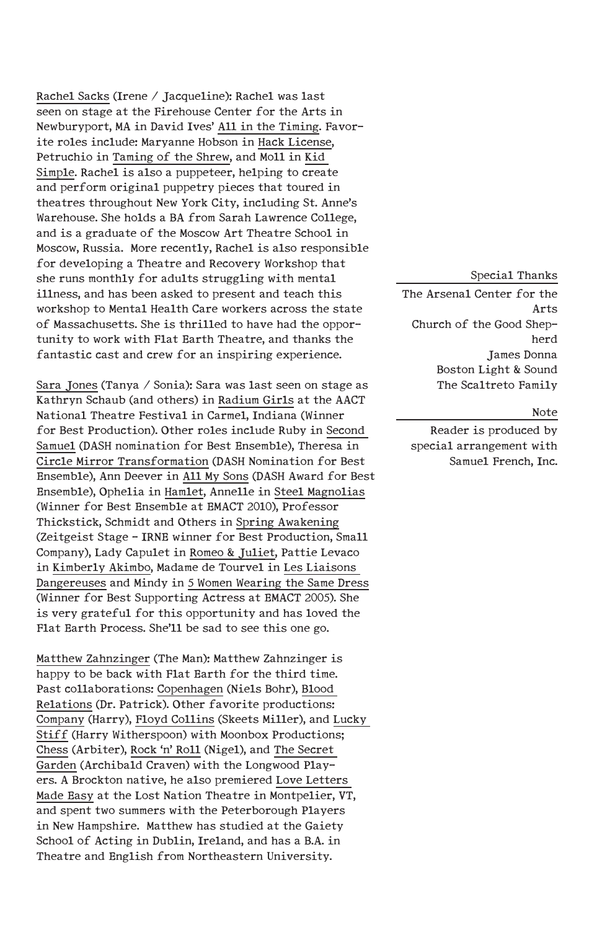Rachel Sacks (Irene / Jacqueline): Rachel was last seen on stage at the Firehouse Center for the Arts in Newburyport, MA in David Ives' All in the Timing. Favorite roles include: Maryanne Hobson in Hack License, Petruchio in Taming of the Shrew, and Moll in Kid Simple. Rachel is also a puppeteer, helping to create and perform original puppetry pieces that toured in theatres throughout New York City, including St. Anne's Warehouse. She holds a BA from Sarah Lawrence College, and is a graduate of the Moscow Art Theatre School in Moscow, Russia. More recently, Rachel is also responsible for developing a Theatre and Recovery Workshop that she runs monthly for adults struggling with mental illness, and has been asked to present and teach this workshop to Mental Health Care workers across the state of Massachusetts. She is thrilled to have had the opportunity to work with Flat Earth Theatre, and thanks the fantastic cast and crew for an inspiring experience.

Sara Jones (Tanya / Sonia): Sara was last seen on stage as Kathryn Schaub (and others) in Radium Girls at the AACT National Theatre Festival in Carmel, Indiana (Winner for Best Production). Other roles include Ruby in Second Samuel (DASH nomination for Best Ensemble), Theresa in Circle Mirror Transformation (DASH Nomination for Best Ensemble), Ann Deever in All My Sons (DASH Award for Best Ensemble), Ophelia in Hamlet, Annelle in Steel Magnolias (Winner for Best Ensemble at EMACT 20l0), Professor Thickstick, Schmidt and Others in Spring Awakening (Zeitgeist Stage - IRNE winner for Best Production, Small Company), Lady Capulet in Romeo & Juliet, Pattie Levaco in Kimberly Akimbo, Madame de Tourvel in Les Liaisons Dangereuses and Mindy in 5 Women Wearing the Same Dress (Winner for Best Supporting Actress at EMACT 2005). She is very grateful for this opportunity and has loved the Flat Earth Process. She'll be sad to see this one go.

Matthew Zahnzinger (The Man): Matthew Zahnzinger is happy to be back with Flat Earth for the third time. Past collaborations: Copenhagen (Niels Bohr), Blood Relations (Dr. Patrick). Other favorite productions: Company (Harry), Floyd Collins (Skeets Miller), and Lucky Stiff (Harry Witherspoon) with Moonbox Productions; Chess (Arbiter), Rock 'n' Roll (Nigel), and The Secret Garden (Archibald Craven) with the Longwood Players. A Brockton native, he also premiered Love Letters Made Easy at the Lost Nation Theatre in Montpelier, VT, and spent two summers with the Peterborough Players in New Hampshire. Matthew has studied at the Gaiety School of Acting in Dublin, Ireland, and has a B.A. in Theatre and English from Northeastern University.

#### Special Thanks

The Arsenal Center for the Arts Church of the Good Shepherd James Donna Boston Light & Sound The Scaltreto Family

#### Note

Reader is produced by special arrangement with Samuel French, Inc.